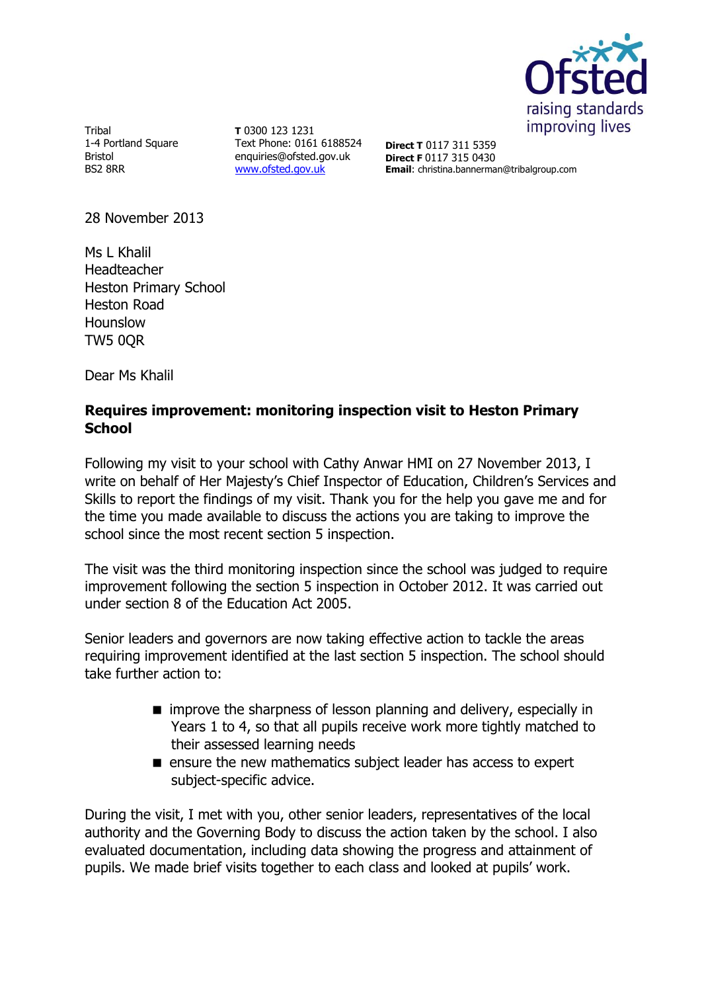

Tribal 1-4 Portland Square Bristol BS2 8RR

**T** 0300 123 1231 Text Phone: 0161 6188524 enquiries@ofsted.gov.uk [www.ofsted.gov.uk](http://www.ofsted.gov.uk/)

**Direct T** 0117 311 5359 **Direct F** 0117 315 0430 **Email**: christina.bannerman@tribalgroup.com

28 November 2013

Ms L Khalil Headteacher Heston Primary School Heston Road Hounslow TW5 0QR

Dear Ms Khalil

## **Requires improvement: monitoring inspection visit to Heston Primary School**

Following my visit to your school with Cathy Anwar HMI on 27 November 2013, I write on behalf of Her Majesty's Chief Inspector of Education, Children's Services and Skills to report the findings of my visit. Thank you for the help you gave me and for the time you made available to discuss the actions you are taking to improve the school since the most recent section 5 inspection.

The visit was the third monitoring inspection since the school was judged to require improvement following the section 5 inspection in October 2012. It was carried out under section 8 of the Education Act 2005.

Senior leaders and governors are now taking effective action to tackle the areas requiring improvement identified at the last section 5 inspection. The school should take further action to:

- $\blacksquare$  improve the sharpness of lesson planning and delivery, especially in Years 1 to 4, so that all pupils receive work more tightly matched to their assessed learning needs
- **E** ensure the new mathematics subject leader has access to expert subject-specific advice.

During the visit, I met with you, other senior leaders, representatives of the local authority and the Governing Body to discuss the action taken by the school. I also evaluated documentation, including data showing the progress and attainment of pupils. We made brief visits together to each class and looked at pupils' work.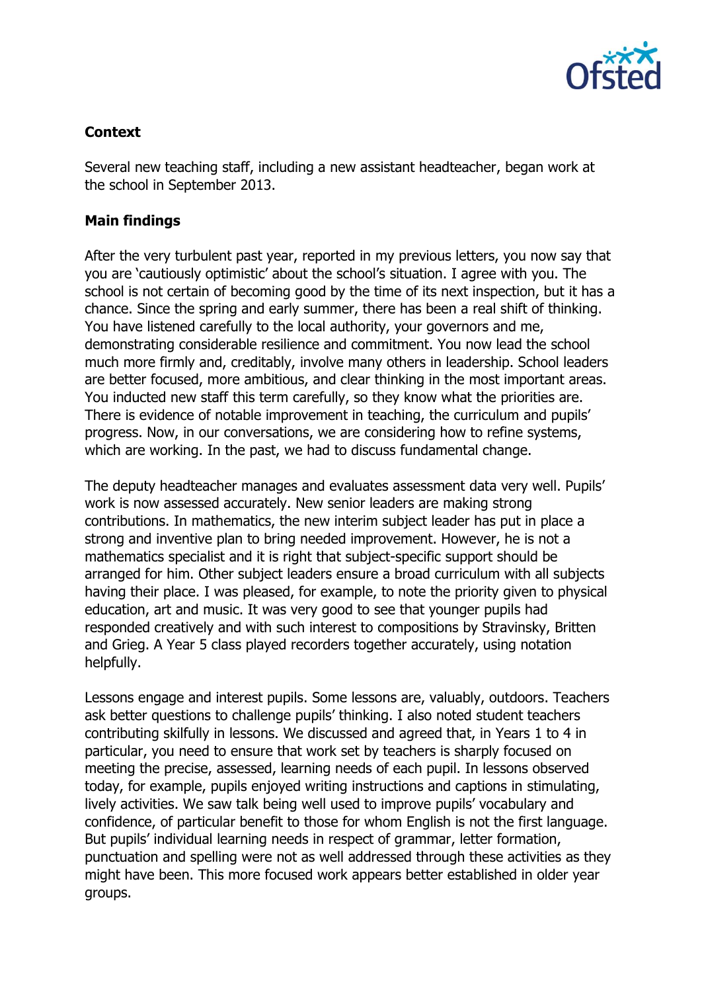

## **Context**

Several new teaching staff, including a new assistant headteacher, began work at the school in September 2013.

## **Main findings**

After the very turbulent past year, reported in my previous letters, you now say that you are 'cautiously optimistic' about the school's situation. I agree with you. The school is not certain of becoming good by the time of its next inspection, but it has a chance. Since the spring and early summer, there has been a real shift of thinking. You have listened carefully to the local authority, your governors and me, demonstrating considerable resilience and commitment. You now lead the school much more firmly and, creditably, involve many others in leadership. School leaders are better focused, more ambitious, and clear thinking in the most important areas. You inducted new staff this term carefully, so they know what the priorities are. There is evidence of notable improvement in teaching, the curriculum and pupils' progress. Now, in our conversations, we are considering how to refine systems, which are working. In the past, we had to discuss fundamental change.

The deputy headteacher manages and evaluates assessment data very well. Pupils' work is now assessed accurately. New senior leaders are making strong contributions. In mathematics, the new interim subject leader has put in place a strong and inventive plan to bring needed improvement. However, he is not a mathematics specialist and it is right that subject-specific support should be arranged for him. Other subject leaders ensure a broad curriculum with all subjects having their place. I was pleased, for example, to note the priority given to physical education, art and music. It was very good to see that younger pupils had responded creatively and with such interest to compositions by Stravinsky, Britten and Grieg. A Year 5 class played recorders together accurately, using notation helpfully.

Lessons engage and interest pupils. Some lessons are, valuably, outdoors. Teachers ask better questions to challenge pupils' thinking. I also noted student teachers contributing skilfully in lessons. We discussed and agreed that, in Years 1 to 4 in particular, you need to ensure that work set by teachers is sharply focused on meeting the precise, assessed, learning needs of each pupil. In lessons observed today, for example, pupils enjoyed writing instructions and captions in stimulating, lively activities. We saw talk being well used to improve pupils' vocabulary and confidence, of particular benefit to those for whom English is not the first language. But pupils' individual learning needs in respect of grammar, letter formation, punctuation and spelling were not as well addressed through these activities as they might have been. This more focused work appears better established in older year groups.